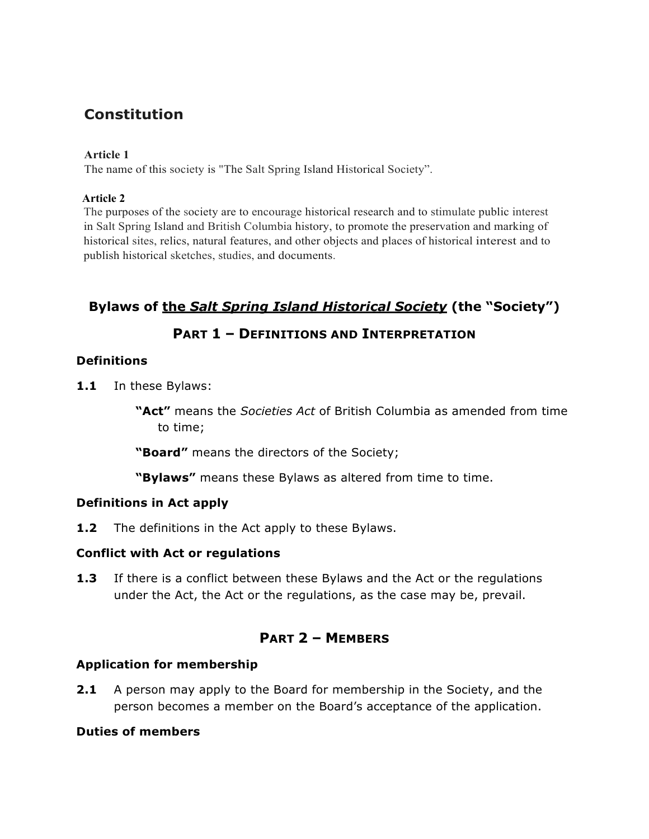# **Constitution**

#### **Article 1**

The name of this society is "The Salt Spring Island Historical Society".

#### **Article 2**

The purposes of the society are to encourage historical research and to stimulate public interest in Salt Spring Island and British Columbia history, to promote the preservation and marking of historical sites, relics, natural features, and other objects and places of historical interest and to publish historical sketches, studies, and documents.

# **Bylaws of the** *Salt Spring Island Historical Society* **(the "Society")**

# **PART 1 – DEFINITIONS AND INTERPRETATION**

### **Definitions**

**1.1** In these Bylaws:

**"Act"** means the *Societies Act* of British Columbia as amended from time to time;

**"Board"** means the directors of the Society;

**"Bylaws"** means these Bylaws as altered from time to time.

### **Definitions in Act apply**

**1.2** The definitions in the Act apply to these Bylaws.

### **Conflict with Act or regulations**

**1.3** If there is a conflict between these Bylaws and the Act or the regulations under the Act, the Act or the regulations, as the case may be, prevail.

## **PART 2 – MEMBERS**

### **Application for membership**

**2.1** A person may apply to the Board for membership in the Society, and the person becomes a member on the Board's acceptance of the application.

### **Duties of members**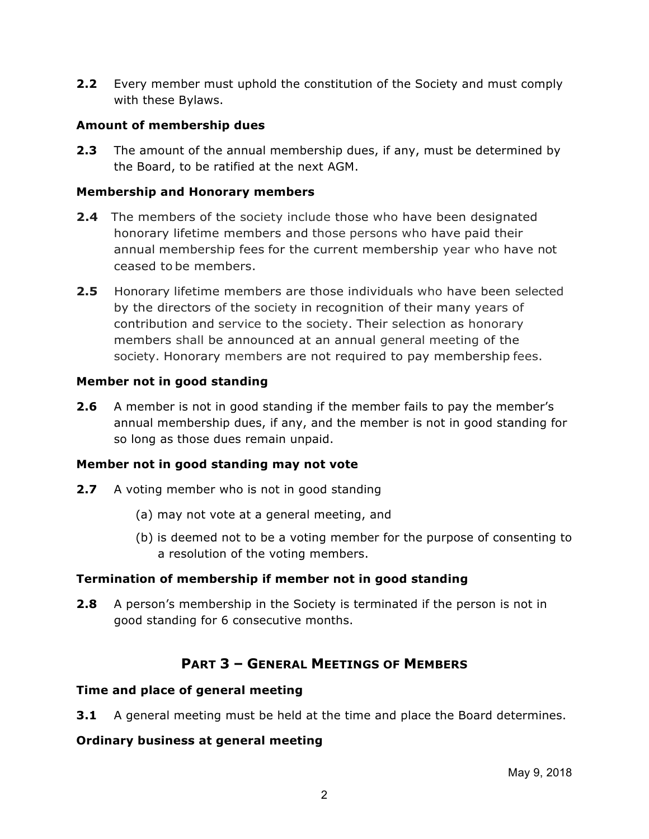**2.2** Every member must uphold the constitution of the Society and must comply with these Bylaws.

### **Amount of membership dues**

**2.3** The amount of the annual membership dues, if any, must be determined by the Board, to be ratified at the next AGM.

### **Membership and Honorary members**

- **2.4** The members of the society include those who have been designated honorary lifetime members and those persons who have paid their annual membership fees for the current membership year who have not ceased to be members.
- **2.5** Honorary lifetime members are those individuals who have been selected by the directors of the society in recognition of their many years of contribution and service to the society. Their selection as honorary members shall be announced at an annual general meeting of the society. Honorary members are not required to pay membership fees.

### **Member not in good standing**

**2.6** A member is not in good standing if the member fails to pay the member's annual membership dues, if any, and the member is not in good standing for so long as those dues remain unpaid.

### **Member not in good standing may not vote**

- **2.7** A voting member who is not in good standing
	- (a) may not vote at a general meeting, and
	- (b) is deemed not to be a voting member for the purpose of consenting to a resolution of the voting members.

### **Termination of membership if member not in good standing**

**2.8** A person's membership in the Society is terminated if the person is not in good standing for 6 consecutive months.

# **PART 3 – GENERAL MEETINGS OF MEMBERS**

### **Time and place of general meeting**

**3.1** A general meeting must be held at the time and place the Board determines.

## **Ordinary business at general meeting**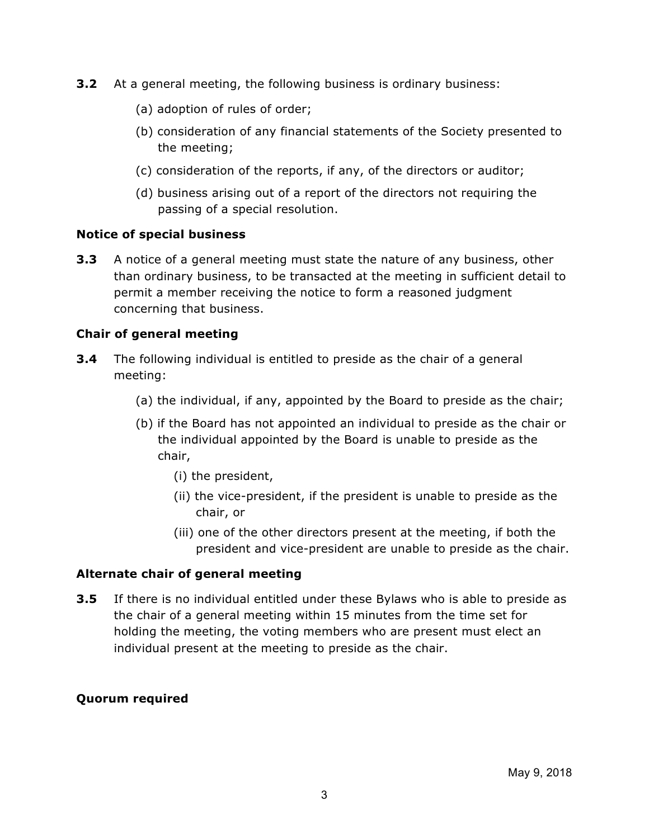- **3.2** At a general meeting, the following business is ordinary business:
	- (a) adoption of rules of order;
	- (b) consideration of any financial statements of the Society presented to the meeting;
	- (c) consideration of the reports, if any, of the directors or auditor;
	- (d) business arising out of a report of the directors not requiring the passing of a special resolution.

#### **Notice of special business**

**3.3** A notice of a general meeting must state the nature of any business, other than ordinary business, to be transacted at the meeting in sufficient detail to permit a member receiving the notice to form a reasoned judgment concerning that business.

### **Chair of general meeting**

- **3.4** The following individual is entitled to preside as the chair of a general meeting:
	- (a) the individual, if any, appointed by the Board to preside as the chair;
	- (b) if the Board has not appointed an individual to preside as the chair or the individual appointed by the Board is unable to preside as the chair,
		- (i) the president,
		- (ii) the vice-president, if the president is unable to preside as the chair, or
		- (iii) one of the other directors present at the meeting, if both the president and vice-president are unable to preside as the chair.

#### **Alternate chair of general meeting**

**3.5** If there is no individual entitled under these Bylaws who is able to preside as the chair of a general meeting within 15 minutes from the time set for holding the meeting, the voting members who are present must elect an individual present at the meeting to preside as the chair.

### **Quorum required**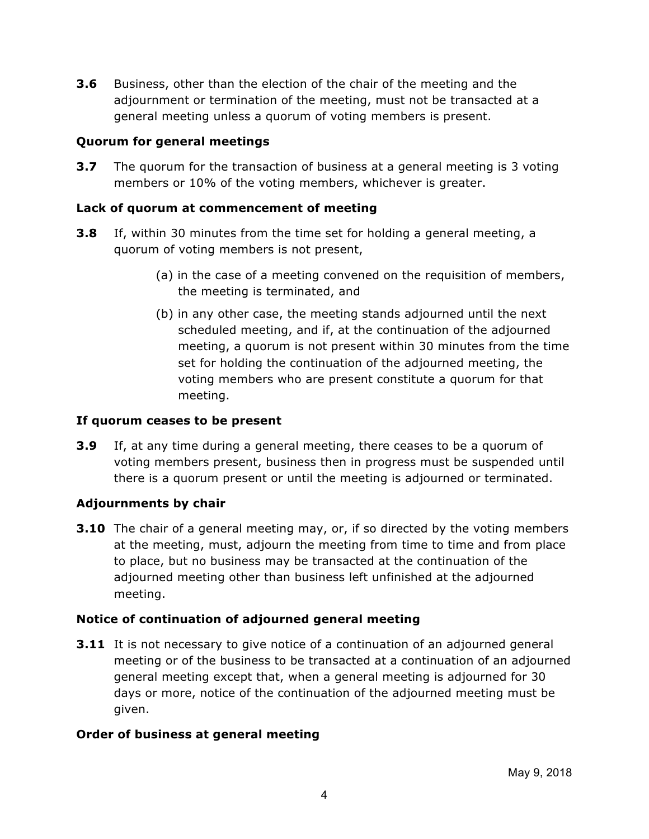**3.6** Business, other than the election of the chair of the meeting and the adjournment or termination of the meeting, must not be transacted at a general meeting unless a quorum of voting members is present.

### **Quorum for general meetings**

**3.7** The quorum for the transaction of business at a general meeting is 3 voting members or 10% of the voting members, whichever is greater.

## **Lack of quorum at commencement of meeting**

- **3.8** If, within 30 minutes from the time set for holding a general meeting, a quorum of voting members is not present,
	- (a) in the case of a meeting convened on the requisition of members, the meeting is terminated, and
	- (b) in any other case, the meeting stands adjourned until the next scheduled meeting, and if, at the continuation of the adjourned meeting, a quorum is not present within 30 minutes from the time set for holding the continuation of the adjourned meeting, the voting members who are present constitute a quorum for that meeting.

### **If quorum ceases to be present**

**3.9** If, at any time during a general meeting, there ceases to be a quorum of voting members present, business then in progress must be suspended until there is a quorum present or until the meeting is adjourned or terminated.

### **Adjournments by chair**

**3.10** The chair of a general meeting may, or, if so directed by the voting members at the meeting, must, adjourn the meeting from time to time and from place to place, but no business may be transacted at the continuation of the adjourned meeting other than business left unfinished at the adjourned meeting.

## **Notice of continuation of adjourned general meeting**

**3.11** It is not necessary to give notice of a continuation of an adjourned general meeting or of the business to be transacted at a continuation of an adjourned general meeting except that, when a general meeting is adjourned for 30 days or more, notice of the continuation of the adjourned meeting must be given.

### **Order of business at general meeting**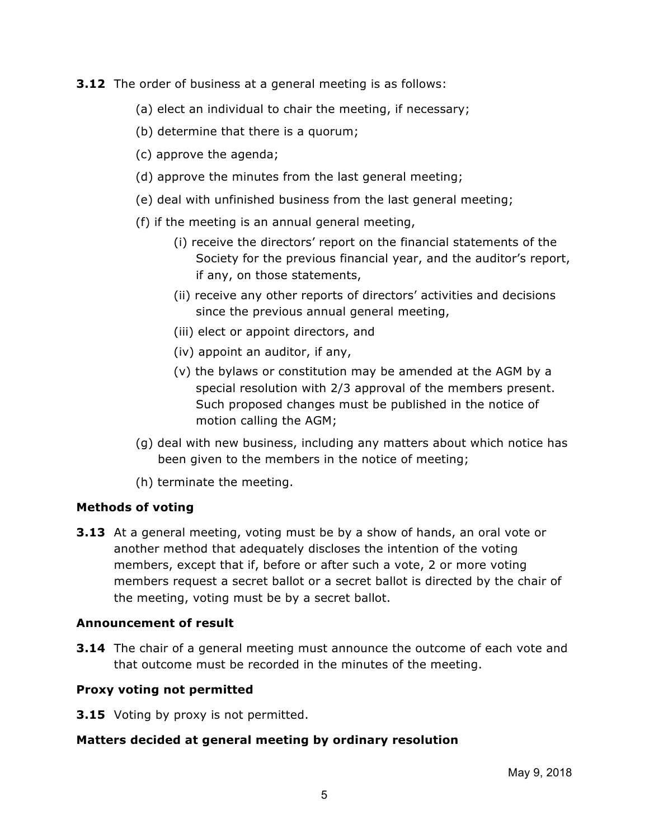#### **3.12** The order of business at a general meeting is as follows:

- (a) elect an individual to chair the meeting, if necessary;
- (b) determine that there is a quorum;
- (c) approve the agenda;
- (d) approve the minutes from the last general meeting;
- (e) deal with unfinished business from the last general meeting;
- (f) if the meeting is an annual general meeting,
	- (i) receive the directors' report on the financial statements of the Society for the previous financial year, and the auditor's report, if any, on those statements,
	- (ii) receive any other reports of directors' activities and decisions since the previous annual general meeting,
	- (iii) elect or appoint directors, and
	- (iv) appoint an auditor, if any,
	- (v) the bylaws or constitution may be amended at the AGM by a special resolution with 2/3 approval of the members present. Such proposed changes must be published in the notice of motion calling the AGM;
- (g) deal with new business, including any matters about which notice has been given to the members in the notice of meeting;
- (h) terminate the meeting.

### **Methods of voting**

**3.13** At a general meeting, voting must be by a show of hands, an oral vote or another method that adequately discloses the intention of the voting members, except that if, before or after such a vote, 2 or more voting members request a secret ballot or a secret ballot is directed by the chair of the meeting, voting must be by a secret ballot.

### **Announcement of result**

**3.14** The chair of a general meeting must announce the outcome of each vote and that outcome must be recorded in the minutes of the meeting.

### **Proxy voting not permitted**

**3.15** Voting by proxy is not permitted.

### **Matters decided at general meeting by ordinary resolution**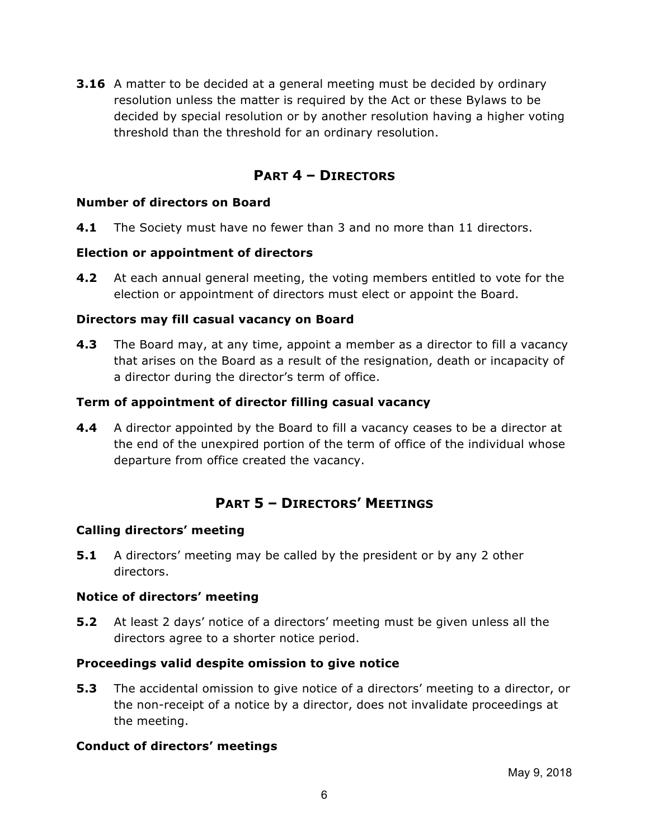**3.16** A matter to be decided at a general meeting must be decided by ordinary resolution unless the matter is required by the Act or these Bylaws to be decided by special resolution or by another resolution having a higher voting threshold than the threshold for an ordinary resolution.

# **PART 4 – DIRECTORS**

#### **Number of directors on Board**

**4.1** The Society must have no fewer than 3 and no more than 11 directors.

#### **Election or appointment of directors**

**4.2** At each annual general meeting, the voting members entitled to vote for the election or appointment of directors must elect or appoint the Board.

#### **Directors may fill casual vacancy on Board**

**4.3** The Board may, at any time, appoint a member as a director to fill a vacancy that arises on the Board as a result of the resignation, death or incapacity of a director during the director's term of office.

#### **Term of appointment of director filling casual vacancy**

**4.4** A director appointed by the Board to fill a vacancy ceases to be a director at the end of the unexpired portion of the term of office of the individual whose departure from office created the vacancy.

# **PART 5 – DIRECTORS' MEETINGS**

#### **Calling directors' meeting**

**5.1** A directors' meeting may be called by the president or by any 2 other directors.

#### **Notice of directors' meeting**

**5.2** At least 2 days' notice of a directors' meeting must be given unless all the directors agree to a shorter notice period.

#### **Proceedings valid despite omission to give notice**

**5.3** The accidental omission to give notice of a directors' meeting to a director, or the non-receipt of a notice by a director, does not invalidate proceedings at the meeting.

### **Conduct of directors' meetings**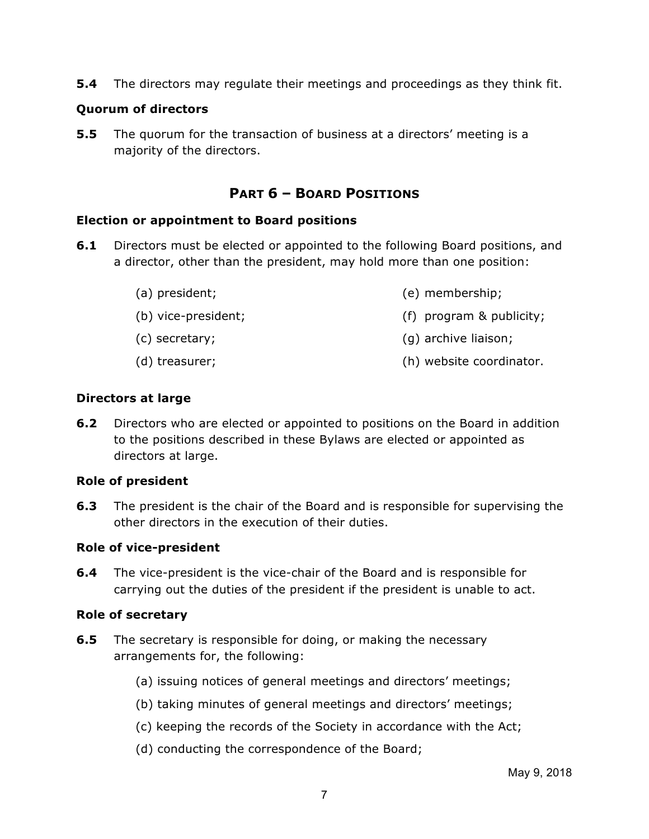**5.4** The directors may regulate their meetings and proceedings as they think fit.

## **Quorum of directors**

**5.5** The quorum for the transaction of business at a directors' meeting is a majority of the directors.

# **PART 6 – BOARD POSITIONS**

### **Election or appointment to Board positions**

- **6.1** Directors must be elected or appointed to the following Board positions, and a director, other than the president, may hold more than one position:
	- (a) president;
	- (b) vice-president;
	- (c) secretary;
	- (d) treasurer; (h) website coordinator.

(e) membership;

(g) archive liaison;

(f) program & publicity;

### **Directors at large**

**6.2** Directors who are elected or appointed to positions on the Board in addition to the positions described in these Bylaws are elected or appointed as directors at large.

## **Role of president**

**6.3** The president is the chair of the Board and is responsible for supervising the other directors in the execution of their duties.

## **Role of vice-president**

**6.4** The vice-president is the vice-chair of the Board and is responsible for carrying out the duties of the president if the president is unable to act.

### **Role of secretary**

- **6.5** The secretary is responsible for doing, or making the necessary arrangements for, the following:
	- (a) issuing notices of general meetings and directors' meetings;
	- (b) taking minutes of general meetings and directors' meetings;
	- (c) keeping the records of the Society in accordance with the Act;
	- (d) conducting the correspondence of the Board;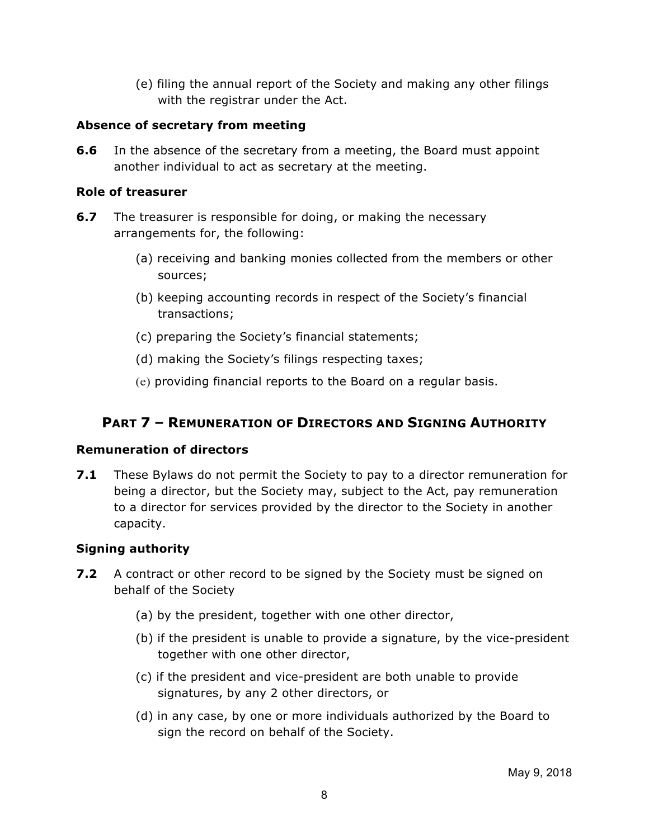(e) filing the annual report of the Society and making any other filings with the registrar under the Act.

### **Absence of secretary from meeting**

**6.6** In the absence of the secretary from a meeting, the Board must appoint another individual to act as secretary at the meeting.

### **Role of treasurer**

- **6.7** The treasurer is responsible for doing, or making the necessary arrangements for, the following:
	- (a) receiving and banking monies collected from the members or other sources;
	- (b) keeping accounting records in respect of the Society's financial transactions;
	- (c) preparing the Society's financial statements;
	- (d) making the Society's filings respecting taxes;
	- (e) providing financial reports to the Board on a regular basis.

# **PART 7 – REMUNERATION OF DIRECTORS AND SIGNING AUTHORITY**

### **Remuneration of directors**

**7.1** These Bylaws do not permit the Society to pay to a director remuneration for being a director, but the Society may, subject to the Act, pay remuneration to a director for services provided by the director to the Society in another capacity.

## **Signing authority**

- **7.2** A contract or other record to be signed by the Society must be signed on behalf of the Society
	- (a) by the president, together with one other director,
	- (b) if the president is unable to provide a signature, by the vice-president together with one other director,
	- (c) if the president and vice-president are both unable to provide signatures, by any 2 other directors, or
	- (d) in any case, by one or more individuals authorized by the Board to sign the record on behalf of the Society.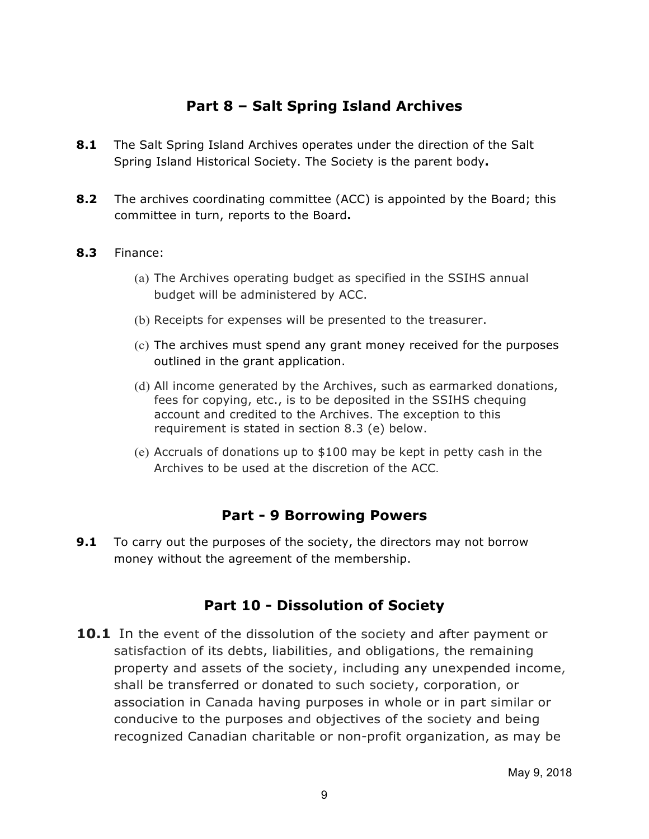# **Part 8 – Salt Spring Island Archives**

- **8.1** The Salt Spring Island Archives operates under the direction of the Salt Spring Island Historical Society. The Society is the parent body**.**
- **8.2** The archives coordinating committee (ACC) is appointed by the Board; this committee in turn, reports to the Board**.**

### **8.3** Finance:

- (a) The Archives operating budget as specified in the SSIHS annual budget will be administered by ACC.
- (b) Receipts for expenses will be presented to the treasurer.
- (c) The archives must spend any grant money received for the purposes outlined in the grant application.
- (d) All income generated by the Archives, such as earmarked donations, fees for copying, etc., is to be deposited in the SSIHS chequing account and credited to the Archives. The exception to this requirement is stated in section 8.3 (e) below.
- (e) Accruals of donations up to \$100 may be kept in petty cash in the Archives to be used at the discretion of the ACC.

# **Part - 9 Borrowing Powers**

**9.1** To carry out the purposes of the society, the directors may not borrow money without the agreement of the membership.

# **Part 10 - Dissolution of Society**

**10.1** In the event of the dissolution of the society and after payment or satisfaction of its debts, liabilities, and obligations, the remaining property and assets of the society, including any unexpended income, shall be transferred or donated to such society, corporation, or association in Canada having purposes in whole or in part similar or conducive to the purposes and objectives of the society and being recognized Canadian charitable or non-profit organization, as may be